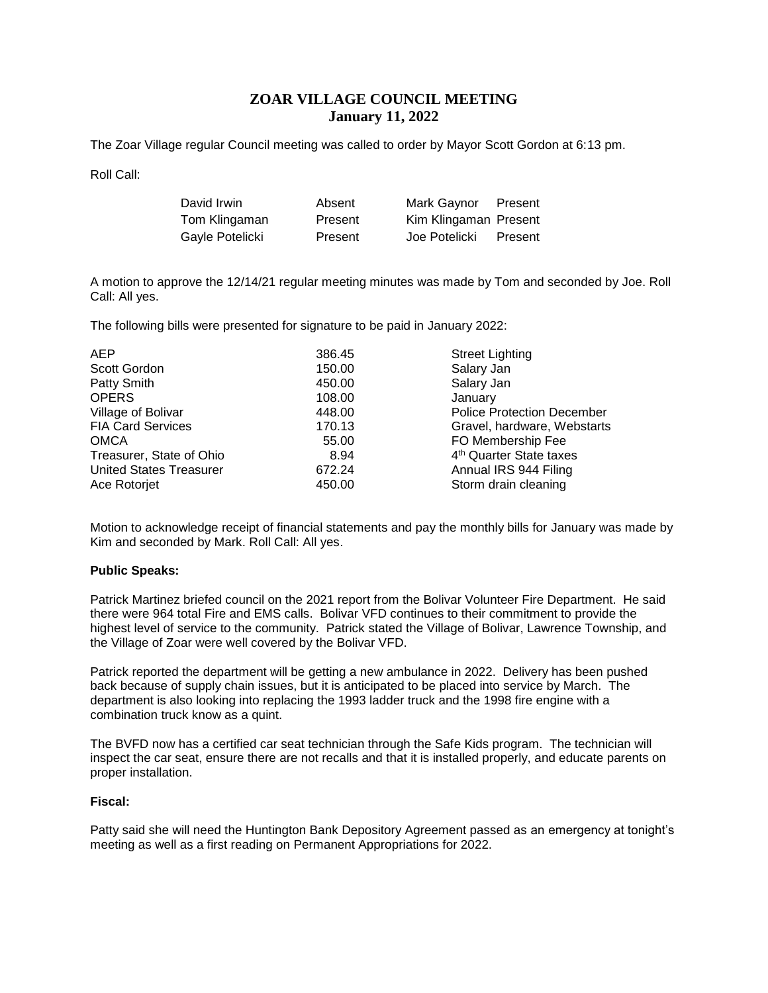# **ZOAR VILLAGE COUNCIL MEETING January 11, 2022**

The Zoar Village regular Council meeting was called to order by Mayor Scott Gordon at 6:13 pm.

Roll Call:

| David Irwin     | Absent  | Mark Gaynor           | Present |
|-----------------|---------|-----------------------|---------|
| Tom Klingaman   | Present | Kim Klingaman Present |         |
| Gayle Potelicki | Present | Joe Potelicki         | Present |

A motion to approve the 12/14/21 regular meeting minutes was made by Tom and seconded by Joe. Roll Call: All yes.

The following bills were presented for signature to be paid in January 2022:

| <b>Police Protection December</b>   |
|-------------------------------------|
| Gravel, hardware, Webstarts         |
| FO Membership Fee                   |
| 4 <sup>th</sup> Quarter State taxes |
| Annual IRS 944 Filing               |
| Storm drain cleaning                |
|                                     |

Motion to acknowledge receipt of financial statements and pay the monthly bills for January was made by Kim and seconded by Mark. Roll Call: All yes.

# **Public Speaks:**

Patrick Martinez briefed council on the 2021 report from the Bolivar Volunteer Fire Department. He said there were 964 total Fire and EMS calls. Bolivar VFD continues to their commitment to provide the highest level of service to the community. Patrick stated the Village of Bolivar, Lawrence Township, and the Village of Zoar were well covered by the Bolivar VFD.

Patrick reported the department will be getting a new ambulance in 2022. Delivery has been pushed back because of supply chain issues, but it is anticipated to be placed into service by March. The department is also looking into replacing the 1993 ladder truck and the 1998 fire engine with a combination truck know as a quint.

The BVFD now has a certified car seat technician through the Safe Kids program. The technician will inspect the car seat, ensure there are not recalls and that it is installed properly, and educate parents on proper installation.

# **Fiscal:**

Patty said she will need the Huntington Bank Depository Agreement passed as an emergency at tonight's meeting as well as a first reading on Permanent Appropriations for 2022.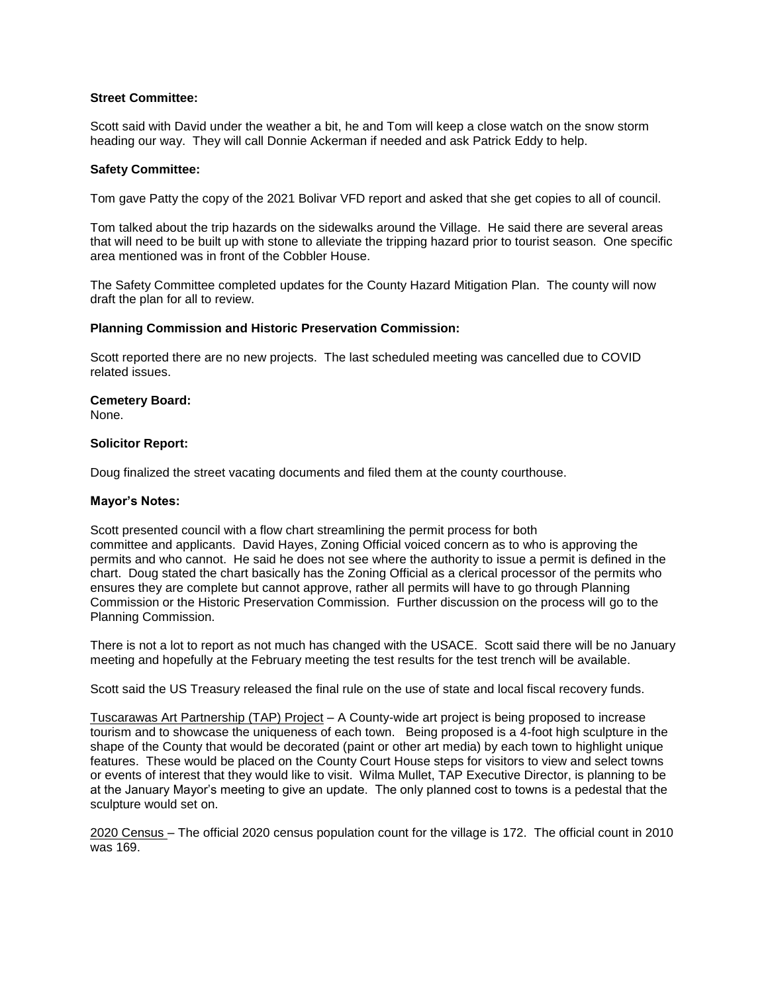# **Street Committee:**

Scott said with David under the weather a bit, he and Tom will keep a close watch on the snow storm heading our way. They will call Donnie Ackerman if needed and ask Patrick Eddy to help.

#### **Safety Committee:**

Tom gave Patty the copy of the 2021 Bolivar VFD report and asked that she get copies to all of council.

Tom talked about the trip hazards on the sidewalks around the Village. He said there are several areas that will need to be built up with stone to alleviate the tripping hazard prior to tourist season. One specific area mentioned was in front of the Cobbler House.

The Safety Committee completed updates for the County Hazard Mitigation Plan. The county will now draft the plan for all to review.

#### **Planning Commission and Historic Preservation Commission:**

Scott reported there are no new projects. The last scheduled meeting was cancelled due to COVID related issues.

# **Cemetery Board:**

None.

#### **Solicitor Report:**

Doug finalized the street vacating documents and filed them at the county courthouse.

#### **Mayor's Notes:**

Scott presented council with a flow chart streamlining the permit process for both committee and applicants. David Hayes, Zoning Official voiced concern as to who is approving the permits and who cannot. He said he does not see where the authority to issue a permit is defined in the chart. Doug stated the chart basically has the Zoning Official as a clerical processor of the permits who ensures they are complete but cannot approve, rather all permits will have to go through Planning Commission or the Historic Preservation Commission. Further discussion on the process will go to the Planning Commission.

There is not a lot to report as not much has changed with the USACE. Scott said there will be no January meeting and hopefully at the February meeting the test results for the test trench will be available.

Scott said the US Treasury released the final rule on the use of state and local fiscal recovery funds.

Tuscarawas Art Partnership (TAP) Project – A County-wide art project is being proposed to increase tourism and to showcase the uniqueness of each town. Being proposed is a 4-foot high sculpture in the shape of the County that would be decorated (paint or other art media) by each town to highlight unique features. These would be placed on the County Court House steps for visitors to view and select towns or events of interest that they would like to visit. Wilma Mullet, TAP Executive Director, is planning to be at the January Mayor's meeting to give an update. The only planned cost to towns is a pedestal that the sculpture would set on.

2020 Census – The official 2020 census population count for the village is 172. The official count in 2010 was 169.